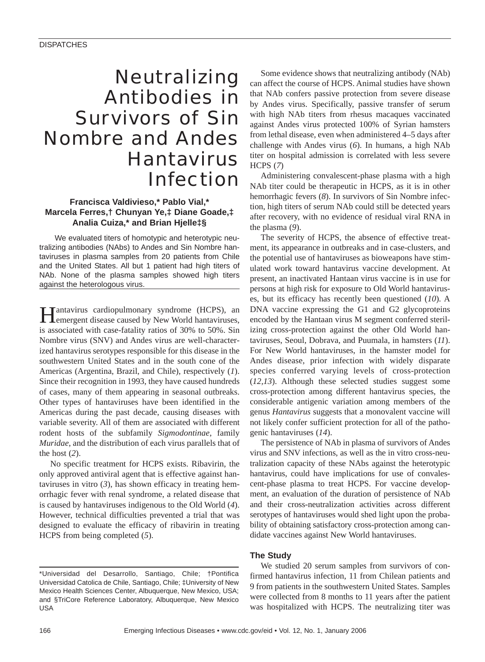# Neutralizing Antibodies in Survivors of Sin Nombre and Andes Hantavirus Infection

# **Francisca Valdivieso,\* Pablo Vial,\* Marcela Ferres,† Chunyan Ye,‡ Diane Goade,‡ Analia Cuiza,\* and Brian Hjelle‡§**

We evaluated titers of homotypic and heterotypic neutralizing antibodies (NAbs) to Andes and Sin Nombre hantaviruses in plasma samples from 20 patients from Chile and the United States. All but 1 patient had high titers of NAb. None of the plasma samples showed high titers against the heterologous virus.

Hantavirus cardiopulmonary syndrome (HCPS), an emergent disease caused by New World hantaviruses, is associated with case-fatality ratios of 30% to 50%. Sin Nombre virus (SNV) and Andes virus are well-characterized hantavirus serotypes responsible for this disease in the southwestern United States and in the south cone of the Americas (Argentina, Brazil, and Chile), respectively (*1*). Since their recognition in 1993, they have caused hundreds of cases, many of them appearing in seasonal outbreaks. Other types of hantaviruses have been identified in the Americas during the past decade, causing diseases with variable severity. All of them are associated with different rodent hosts of the subfamily *Sigmodontinae*, family *Muridae*, and the distribution of each virus parallels that of the host (*2*).

No specific treatment for HCPS exists. Ribavirin, the only approved antiviral agent that is effective against hantaviruses in vitro  $(3)$ , has shown efficacy in treating hemorrhagic fever with renal syndrome, a related disease that is caused by hantaviruses indigenous to the Old World (*4*). However, technical difficulties prevented a trial that was designed to evaluate the efficacy of ribavirin in treating HCPS from being completed (*5*).

\*Universidad del Desarrollo, Santiago, Chile; †Pontifica Universidad Catolica de Chile, Santiago, Chile; ‡University of New Mexico Health Sciences Center, Albuquerque, New Mexico, USA; and §TriCore Reference Laboratory, Albuquerque, New Mexico USA

Some evidence shows that neutralizing antibody (NAb) can affect the course of HCPS. Animal studies have shown that NAb confers passive protection from severe disease by Andes virus. Specifically, passive transfer of serum with high NAb titers from rhesus macaques vaccinated against Andes virus protected 100% of Syrian hamsters from lethal disease, even when administered 4–5 days after challenge with Andes virus (*6*). In humans, a high NAb titer on hospital admission is correlated with less severe HCPS (*7*)

Administering convalescent-phase plasma with a high NAb titer could be therapeutic in HCPS, as it is in other hemorrhagic fevers (*8*). In survivors of Sin Nombre infection, high titers of serum NAb could still be detected years after recovery, with no evidence of residual viral RNA in the plasma (*9*).

The severity of HCPS, the absence of effective treatment, its appearance in outbreaks and in case-clusters, and the potential use of hantaviruses as bioweapons have stimulated work toward hantavirus vaccine development. At present, an inactivated Hantaan virus vaccine is in use for persons at high risk for exposure to Old World hantaviruses, but its efficacy has recently been questioned (*10*). A DNA vaccine expressing the G1 and G2 glycoproteins encoded by the Hantaan virus M segment conferred sterilizing cross-protection against the other Old World hantaviruses, Seoul, Dobrava, and Puumala, in hamsters (*11*). For New World hantaviruses, in the hamster model for Andes disease, prior infection with widely disparate species conferred varying levels of cross-protection (*12,13*). Although these selected studies suggest some cross-protection among different hantavirus species, the considerable antigenic variation among members of the genus *Hantavirus* suggests that a monovalent vaccine will not likely confer sufficient protection for all of the pathogenic hantaviruses (*14*).

The persistence of NAb in plasma of survivors of Andes virus and SNV infections, as well as the in vitro cross-neutralization capacity of these NAbs against the heterotypic hantavirus, could have implications for use of convalescent-phase plasma to treat HCPS. For vaccine development, an evaluation of the duration of persistence of NAb and their cross-neutralization activities across different serotypes of hantaviruses would shed light upon the probability of obtaining satisfactory cross-protection among candidate vaccines against New World hantaviruses.

# **The Study**

We studied 20 serum samples from survivors of confirmed hantavirus infection, 11 from Chilean patients and 9 from patients in the southwestern United States. Samples were collected from 8 months to 11 years after the patient was hospitalized with HCPS. The neutralizing titer was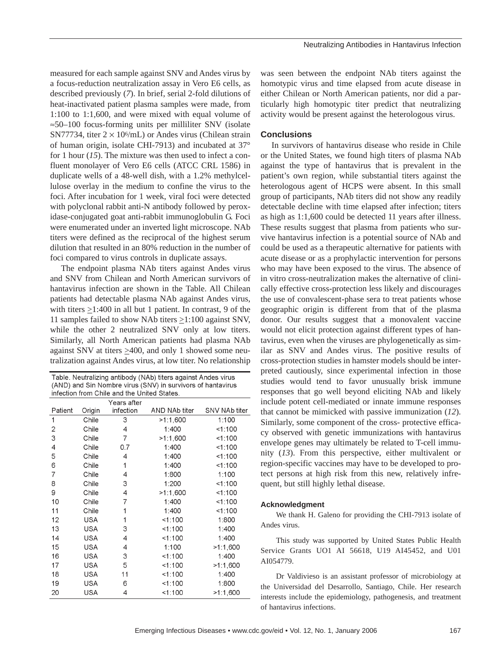measured for each sample against SNV and Andes virus by a focus-reduction neutralization assay in Vero E6 cells, as described previously (*7*). In brief, serial 2-fold dilutions of heat-inactivated patient plasma samples were made, from 1:100 to 1:1,600, and were mixed with equal volume of ≈50–100 focus-forming units per milliliter SNV (isolate SN77734, titer  $2 \times 10^{6}$ /mL) or Andes virus (Chilean strain of human origin, isolate CHI-7913) and incubated at 37° for 1 hour (*15*). The mixture was then used to infect a confluent monolayer of Vero E6 cells (ATCC CRL 1586) in duplicate wells of a 48-well dish, with a 1.2% methylcellulose overlay in the medium to confine the virus to the foci. After incubation for 1 week, viral foci were detected with polyclonal rabbit anti-N antibody followed by peroxidase-conjugated goat anti-rabbit immunoglobulin G. Foci were enumerated under an inverted light microscope. NAb titers were defined as the reciprocal of the highest serum dilution that resulted in an 80% reduction in the number of foci compared to virus controls in duplicate assays.

The endpoint plasma NAb titers against Andes virus and SNV from Chilean and North American survivors of hantavirus infection are shown in the Table. All Chilean patients had detectable plasma NAb against Andes virus, with titers  $\geq$ 1:400 in all but 1 patient. In contrast, 9 of the 11 samples failed to show NAb titers  $\geq$ 1:100 against SNV, while the other 2 neutralized SNV only at low titers. Similarly, all North American patients had plasma NAb against SNV at titers  $\geq 400$ , and only 1 showed some neutralization against Andes virus, at low titer. No relationship

| Table. Neutralizing antibody (NAb) titers against Andes virus |
|---------------------------------------------------------------|
| (AND) and Sin Nombre virus (SNV) in survivors of hantavirus   |
| infection from Chile and the United States.                   |

|                |            | Years after |               |                      |
|----------------|------------|-------------|---------------|----------------------|
| Patient        | Origin     | infection   | AND NAb titer | <b>SNV NAb titer</b> |
| 1              | Chile      | 3           | >1:1,600      | 1:100                |
| 2              | Chile      | 4           | 1:400         | 1:100                |
| 3              | Chile      | 7           | >1:1,600      | 1:100                |
| $\overline{4}$ | Chile      | 0.7         | 1:400         | <1.100               |
| 5              | Chile      | 4           | 1:400         | <1.100               |
| 6              | Chile      | 1           | 1:400         | <1.100               |
| 7              | Chile      | 4           | 1:800         | 1:100                |
| 8              | Chile      | 3           | 1:200         | <1:100               |
| 9              | Chile      | 4           | >1:1,600      | 1:100                |
| 10             | Chile      | 7           | 1:400         | 1.100                |
| 11             | Chile      | 1           | 1:400         | <1.100               |
| 12             | USA        | 1           | 1:100         | 1:800                |
| 13             | <b>USA</b> | 3           | 1:100         | 1:400                |
| 14             | USA        | 4           | 1:100         | 1:400                |
| 15             | <b>USA</b> | 4           | 1:100         | >1:1,600             |
| 16             | <b>USA</b> | 3           | 1:100         | 1:400                |
| 17             | <b>USA</b> | 5           | 1:100         | >1.1,600             |
| 18             | USA        | 11          | 1:100         | 1:400                |
| 19             | <b>USA</b> | 6           | 1:100         | 1:800                |
| 20             | <b>USA</b> | 4           | 1:100         | >1:1,600             |

was seen between the endpoint NAb titers against the homotypic virus and time elapsed from acute disease in either Chilean or North American patients, nor did a particularly high homotypic titer predict that neutralizing activity would be present against the heterologous virus.

# **Conclusions**

In survivors of hantavirus disease who reside in Chile or the United States, we found high titers of plasma NAb against the type of hantavirus that is prevalent in the patient's own region, while substantial titers against the heterologous agent of HCPS were absent. In this small group of participants, NAb titers did not show any readily detectable decline with time elapsed after infection; titers as high as 1:1,600 could be detected 11 years after illness. These results suggest that plasma from patients who survive hantavirus infection is a potential source of NAb and could be used as a therapeutic alternative for patients with acute disease or as a prophylactic intervention for persons who may have been exposed to the virus. The absence of in vitro cross-neutralization makes the alternative of clinically effective cross-protection less likely and discourages the use of convalescent-phase sera to treat patients whose geographic origin is different from that of the plasma donor. Our results suggest that a monovalent vaccine would not elicit protection against different types of hantavirus, even when the viruses are phylogenetically as similar as SNV and Andes virus. The positive results of cross-protection studies in hamster models should be interpreted cautiously, since experimental infection in those studies would tend to favor unusually brisk immune responses that go well beyond eliciting NAb and likely include potent cell-mediated or innate immune responses that cannot be mimicked with passive immunization (*12*). Similarly, some component of the cross- protective efficacy observed with genetic immunizations with hantavirus envelope genes may ultimately be related to T-cell immunity (*13*). From this perspective, either multivalent or region-specific vaccines may have to be developed to protect persons at high risk from this new, relatively infrequent, but still highly lethal disease.

#### **Acknowledgment**

We thank H. Galeno for providing the CHI-7913 isolate of Andes virus.

This study was supported by United States Public Health Service Grants UO1 AI 56618, U19 AI45452, and U01 AI054779.

Dr Valdivieso is an assistant professor of microbiology at the Universidad del Desarrollo, Santiago, Chile. Her research interests include the epidemiology, pathogenesis, and treatment of hantavirus infections.